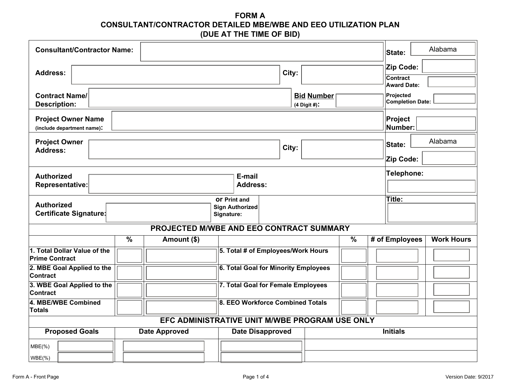**FORM A CONSULTANT/CONTRACTOR DETAILED MBE/WBE AND EEO UTILIZATION PLAN (DUE AT THE TIME OF BID)**

| <b>Consultant/Contractor Name:</b>                                                                         |                                                 |                                             |                                   |                          | Alabama<br>State:                           |  |  |
|------------------------------------------------------------------------------------------------------------|-------------------------------------------------|---------------------------------------------|-----------------------------------|--------------------------|---------------------------------------------|--|--|
| <b>Address:</b>                                                                                            |                                                 |                                             | City:                             |                          | Zip Code:<br>Contract<br><b>Award Date:</b> |  |  |
| <b>Contract Name/</b><br><b>Description:</b>                                                               |                                                 |                                             | <b>Bid Number</b><br>(4 Digit #): |                          | Projected<br><b>Completion Date:</b>        |  |  |
| <b>Project Owner Name</b><br>Project<br>Number:<br>(include department name):                              |                                                 |                                             |                                   |                          |                                             |  |  |
| <b>Project Owner</b><br><b>Address:</b>                                                                    |                                                 |                                             | City:                             |                          | Alabama<br>State:<br>Zip Code:              |  |  |
|                                                                                                            |                                                 |                                             |                                   |                          |                                             |  |  |
| <b>Authorized</b><br><b>Representative:</b>                                                                |                                                 | E-mail<br><b>Address:</b>                   |                                   |                          | Telephone:                                  |  |  |
| <b>Or Print and</b><br><b>Authorized</b><br><b>Sign Authorized</b><br>Certificate Signature:<br>Signature: |                                                 |                                             |                                   |                          | Title:                                      |  |  |
| PROJECTED M/WBE AND EEO CONTRACT SUMMARY                                                                   |                                                 |                                             |                                   |                          |                                             |  |  |
| $\overline{\frac{9}{6}}$                                                                                   | Amount (\$)                                     |                                             |                                   | $\overline{\frac{9}{6}}$ | # of Employees<br><b>Work Hours</b>         |  |  |
| 1. Total Dollar Value of the<br><b>Prime Contract</b>                                                      |                                                 | 5. Total # of Employees/Work Hours          |                                   |                          |                                             |  |  |
| 2. MBE Goal Applied to the<br><b>Contract</b>                                                              |                                                 | <b>6. Total Goal for Minority Employees</b> |                                   |                          |                                             |  |  |
| 3. WBE Goal Applied to the<br>Contract                                                                     |                                                 | 7. Total Goal for Female Employees          |                                   |                          |                                             |  |  |
| 4. MBE/WBE Combined<br>Totals                                                                              |                                                 | 8. EEO Workforce Combined Totals            |                                   |                          |                                             |  |  |
| EFC ADMINISTRATIVE UNIT M/WBE PROGRAM USE ONLY                                                             |                                                 |                                             |                                   |                          |                                             |  |  |
| <b>Proposed Goals</b>                                                                                      | <b>Date Approved</b><br><b>Date Disapproved</b> |                                             |                                   | <b>Initials</b>          |                                             |  |  |
| $MBE(\%)$<br>$WBE(\%)$                                                                                     |                                                 |                                             |                                   |                          |                                             |  |  |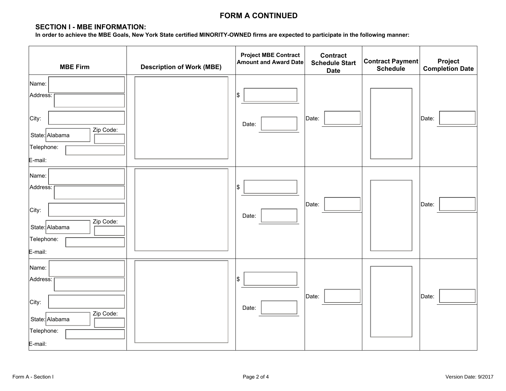## **FORM A CONTINUED**

#### **SECTION I - MBE INFORMATION:**

**In order to achieve the MBE Goals, New York State certified MINORITY-OWNED firms are expected to participate in the following manner:** 

| <b>MBE Firm</b>                                                                    | <b>Description of Work (MBE)</b> | <b>Project MBE Contract</b><br><b>Amount and Award Date</b> | <b>Contract</b><br><b>Schedule Start</b><br><b>Date</b> | Contract Payment<br><b>Schedule</b> | Project<br><b>Completion Date</b> |
|------------------------------------------------------------------------------------|----------------------------------|-------------------------------------------------------------|---------------------------------------------------------|-------------------------------------|-----------------------------------|
| Name:<br>Address:<br>City:<br>Zip Code:<br>State: Alabama<br>Telephone:<br>E-mail: |                                  | \$<br>Date:                                                 | Date:                                                   |                                     | Date:                             |
| Name:<br>Address:<br>City:<br>Zip Code:<br>State: Alabama<br>Telephone:<br>E-mail: |                                  | \$<br>Date:                                                 | Date:                                                   |                                     | Date:                             |
| Name:<br>Address:<br>City:<br>Zip Code:<br>State: Alabama<br>Telephone:<br>E-mail: |                                  | \$<br>Date:                                                 | Date:                                                   |                                     | Date:                             |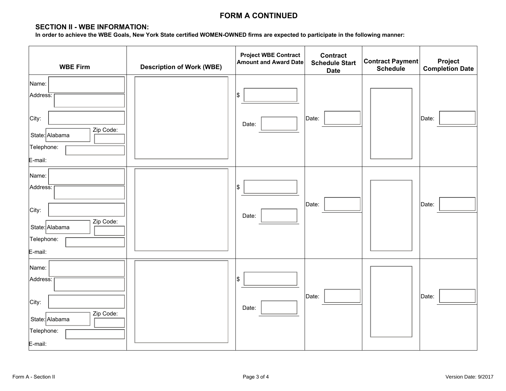## **FORM A CONTINUED**

## **SECTION II - WBE INFORMATION:**

**In order to achieve the WBE Goals, New York State certified WOMEN-OWNED firms are expected to participate in the following manner:** 

| <b>WBE Firm</b>                                                                    | <b>Description of Work (WBE)</b> | <b>Project WBE Contract</b><br><b>Amount and Award Date</b> | <b>Contract</b><br><b>Schedule Start</b><br><b>Date</b> | Contract Payment<br><b>Schedule</b> | Project<br><b>Completion Date</b> |
|------------------------------------------------------------------------------------|----------------------------------|-------------------------------------------------------------|---------------------------------------------------------|-------------------------------------|-----------------------------------|
| Name:<br>Address:<br>City:<br>Zip Code:<br>State: Alabama<br>Telephone:<br>E-mail: |                                  | Ι\$<br>Date:                                                | Date:                                                   |                                     | Date:                             |
| Name:<br>Address:<br>City:<br>Zip Code:<br>State: Alabama<br>Telephone:<br>E-mail: |                                  | \$<br>Date:                                                 | Date:                                                   |                                     | Date:                             |
| Name:<br>Address:<br>City:<br>Zip Code:<br>State: Alabama<br>Telephone:<br>E-mail: |                                  | Ι\$<br>Date:                                                | Date:                                                   |                                     | Date:                             |